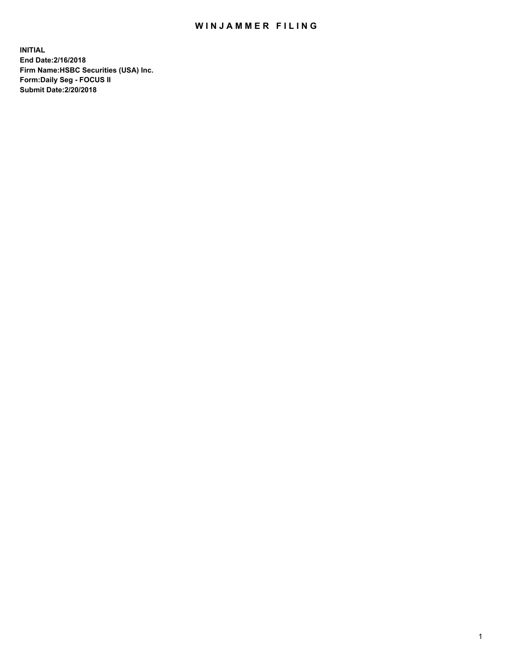## WIN JAMMER FILING

**INITIAL End Date:2/16/2018 Firm Name:HSBC Securities (USA) Inc. Form:Daily Seg - FOCUS II Submit Date:2/20/2018**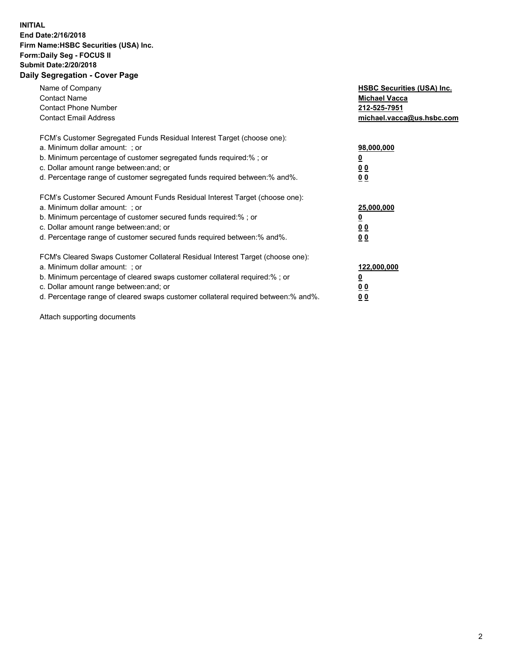## **INITIAL End Date:2/16/2018 Firm Name:HSBC Securities (USA) Inc. Form:Daily Seg - FOCUS II Submit Date:2/20/2018 Daily Segregation - Cover Page**

| Name of Company<br><b>Contact Name</b><br><b>Contact Phone Number</b><br><b>Contact Email Address</b>                                                                                                                                                                                                                         | <b>HSBC Securities (USA) Inc.</b><br><b>Michael Vacca</b><br>212-525-7951<br>michael.vacca@us.hsbc.com |
|-------------------------------------------------------------------------------------------------------------------------------------------------------------------------------------------------------------------------------------------------------------------------------------------------------------------------------|--------------------------------------------------------------------------------------------------------|
| FCM's Customer Segregated Funds Residual Interest Target (choose one):<br>a. Minimum dollar amount: ; or<br>b. Minimum percentage of customer segregated funds required:%; or<br>c. Dollar amount range between: and; or<br>d. Percentage range of customer segregated funds required between: % and %.                       | 98,000,000<br><u>0</u><br><u>00</u><br><u>00</u>                                                       |
| FCM's Customer Secured Amount Funds Residual Interest Target (choose one):<br>a. Minimum dollar amount: ; or<br>b. Minimum percentage of customer secured funds required:%; or<br>c. Dollar amount range between: and; or<br>d. Percentage range of customer secured funds required between: % and %.                         | 25,000,000<br><u>0</u><br><u>00</u><br>00                                                              |
| FCM's Cleared Swaps Customer Collateral Residual Interest Target (choose one):<br>a. Minimum dollar amount: ; or<br>b. Minimum percentage of cleared swaps customer collateral required:%; or<br>c. Dollar amount range between: and; or<br>d. Percentage range of cleared swaps customer collateral required between:% and%. | 122,000,000<br><u>0</u><br><u>00</u><br><u>00</u>                                                      |

Attach supporting documents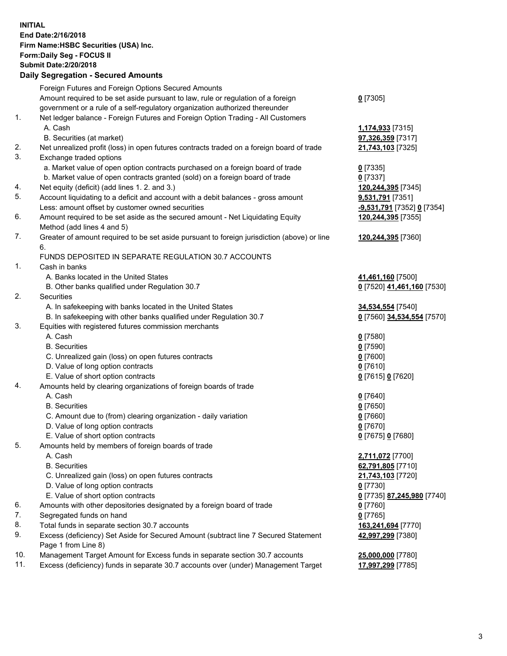**INITIAL End Date:2/16/2018 Firm Name:HSBC Securities (USA) Inc. Form:Daily Seg - FOCUS II Submit Date:2/20/2018 Daily Segregation - Secured Amounts**

|     | Foreign Futures and Foreign Options Secured Amounts                                         |                                   |
|-----|---------------------------------------------------------------------------------------------|-----------------------------------|
|     | Amount required to be set aside pursuant to law, rule or regulation of a foreign            | $0$ [7305]                        |
|     | government or a rule of a self-regulatory organization authorized thereunder                |                                   |
| 1.  | Net ledger balance - Foreign Futures and Foreign Option Trading - All Customers             |                                   |
|     | A. Cash                                                                                     | 1,174,933 [7315]                  |
|     | B. Securities (at market)                                                                   | 97,326,359 [7317]                 |
| 2.  | Net unrealized profit (loss) in open futures contracts traded on a foreign board of trade   | 21,743,103 [7325]                 |
| 3.  | Exchange traded options                                                                     |                                   |
|     | a. Market value of open option contracts purchased on a foreign board of trade              | $0$ [7335]                        |
|     | b. Market value of open contracts granted (sold) on a foreign board of trade                | $0$ [7337]                        |
| 4.  | Net equity (deficit) (add lines 1. 2. and 3.)                                               | 120,244,395 [7345]                |
| 5.  | Account liquidating to a deficit and account with a debit balances - gross amount           | 9,531,791 [7351]                  |
|     | Less: amount offset by customer owned securities                                            | <u>-9,531,791</u> [7352] 0 [7354] |
| 6.  | Amount required to be set aside as the secured amount - Net Liquidating Equity              | 120,244,395 [7355]                |
|     | Method (add lines 4 and 5)                                                                  |                                   |
| 7.  | Greater of amount required to be set aside pursuant to foreign jurisdiction (above) or line | 120,244,395 [7360]                |
|     | 6.                                                                                          |                                   |
|     | FUNDS DEPOSITED IN SEPARATE REGULATION 30.7 ACCOUNTS                                        |                                   |
| 1.  | Cash in banks                                                                               |                                   |
|     | A. Banks located in the United States                                                       | 41,461,160 [7500]                 |
|     | B. Other banks qualified under Regulation 30.7                                              | 0 [7520] 41,461,160 [7530]        |
| 2.  | Securities                                                                                  |                                   |
|     | A. In safekeeping with banks located in the United States                                   | 34,534,554 [7540]                 |
|     | B. In safekeeping with other banks qualified under Regulation 30.7                          | 0 [7560] 34,534,554 [7570]        |
| 3.  | Equities with registered futures commission merchants                                       |                                   |
|     | A. Cash                                                                                     | $0$ [7580]                        |
|     | <b>B.</b> Securities                                                                        | $0$ [7590]                        |
|     | C. Unrealized gain (loss) on open futures contracts                                         | $0$ [7600]                        |
|     | D. Value of long option contracts                                                           | $0$ [7610]                        |
|     | E. Value of short option contracts                                                          | 0 [7615] 0 [7620]                 |
| 4.  | Amounts held by clearing organizations of foreign boards of trade                           |                                   |
|     | A. Cash                                                                                     | $0$ [7640]                        |
|     | <b>B.</b> Securities                                                                        | $0$ [7650]                        |
|     | C. Amount due to (from) clearing organization - daily variation                             | $0$ [7660]                        |
|     | D. Value of long option contracts                                                           | $0$ [7670]                        |
|     | E. Value of short option contracts                                                          | 0 [7675] 0 [7680]                 |
| 5.  | Amounts held by members of foreign boards of trade                                          |                                   |
|     | A. Cash                                                                                     | 2,711,072 [7700]                  |
|     | <b>B.</b> Securities                                                                        | 62,791,805 [7710]                 |
|     | C. Unrealized gain (loss) on open futures contracts                                         | 21,743,103 [7720]                 |
|     | D. Value of long option contracts                                                           | $0$ [7730]                        |
|     | E. Value of short option contracts                                                          | 0 [7735] 87,245,980 [7740]        |
| 6.  | Amounts with other depositories designated by a foreign board of trade                      | $0$ [7760]                        |
| 7.  | Segregated funds on hand                                                                    | $0$ [7765]                        |
| 8.  | Total funds in separate section 30.7 accounts                                               | 163,241,694 [7770]                |
| 9.  | Excess (deficiency) Set Aside for Secured Amount (subtract line 7 Secured Statement         | 42,997,299 [7380]                 |
|     | Page 1 from Line 8)                                                                         |                                   |
| 10. | Management Target Amount for Excess funds in separate section 30.7 accounts                 | 25,000,000 [7780]                 |
| 11. | Excess (deficiency) funds in separate 30.7 accounts over (under) Management Target          | 17,997,299 [7785]                 |
|     |                                                                                             |                                   |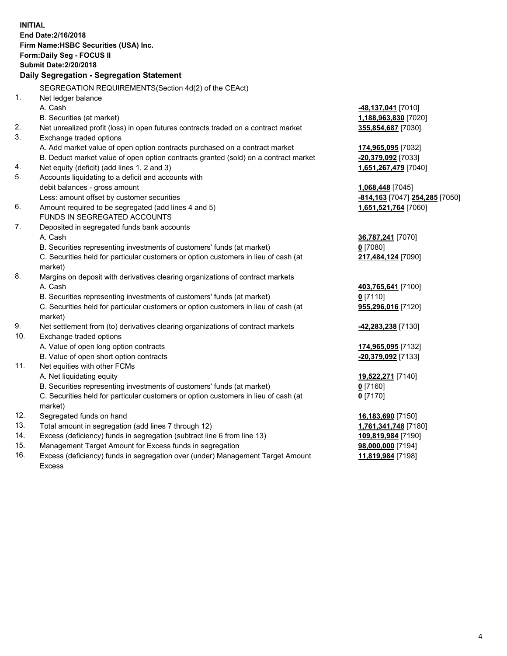**INITIAL End Date:2/16/2018 Firm Name:HSBC Securities (USA) Inc. Form:Daily Seg - FOCUS II Submit Date:2/20/2018 Daily Segregation - Segregation Statement** SEGREGATION REQUIREMENTS(Section 4d(2) of the CEAct) 1. Net ledger balance A. Cash **-48,137,041** [7010] B. Securities (at market) **1,188,963,830** [7020] 2. Net unrealized profit (loss) in open futures contracts traded on a contract market **355,854,687** [7030] 3. Exchange traded options A. Add market value of open option contracts purchased on a contract market **174,965,095** [7032] B. Deduct market value of open option contracts granted (sold) on a contract market **-20,379,092** [7033] 4. Net equity (deficit) (add lines 1, 2 and 3) **1,651,267,479** [7040] 5. Accounts liquidating to a deficit and accounts with debit balances - gross amount **1,068,448** [7045] Less: amount offset by customer securities **-814,163** [7047] **254,285** [7050] 6. Amount required to be segregated (add lines 4 and 5) **1,651,521,764** [7060] FUNDS IN SEGREGATED ACCOUNTS 7. Deposited in segregated funds bank accounts A. Cash **36,787,241** [7070] B. Securities representing investments of customers' funds (at market) **0** [7080] C. Securities held for particular customers or option customers in lieu of cash (at market) **217,484,124** [7090] 8. Margins on deposit with derivatives clearing organizations of contract markets A. Cash **403,765,641** [7100] B. Securities representing investments of customers' funds (at market) **0** [7110] C. Securities held for particular customers or option customers in lieu of cash (at market) **955,296,016** [7120] 9. Net settlement from (to) derivatives clearing organizations of contract markets **-42,283,238** [7130] 10. Exchange traded options A. Value of open long option contracts **174,965,095** [7132] B. Value of open short option contracts **-20,379,092** [7133] 11. Net equities with other FCMs A. Net liquidating equity **19,522,271** [7140] B. Securities representing investments of customers' funds (at market) **0** [7160] C. Securities held for particular customers or option customers in lieu of cash (at market) **0** [7170] 12. Segregated funds on hand **16,183,690** [7150] 13. Total amount in segregation (add lines 7 through 12) **1,761,341,748** [7180] 14. Excess (deficiency) funds in segregation (subtract line 6 from line 13) **109,819,984** [7190] 15. Management Target Amount for Excess funds in segregation **98,000,000** [7194]

16. Excess (deficiency) funds in segregation over (under) Management Target Amount Excess

**11,819,984** [7198]